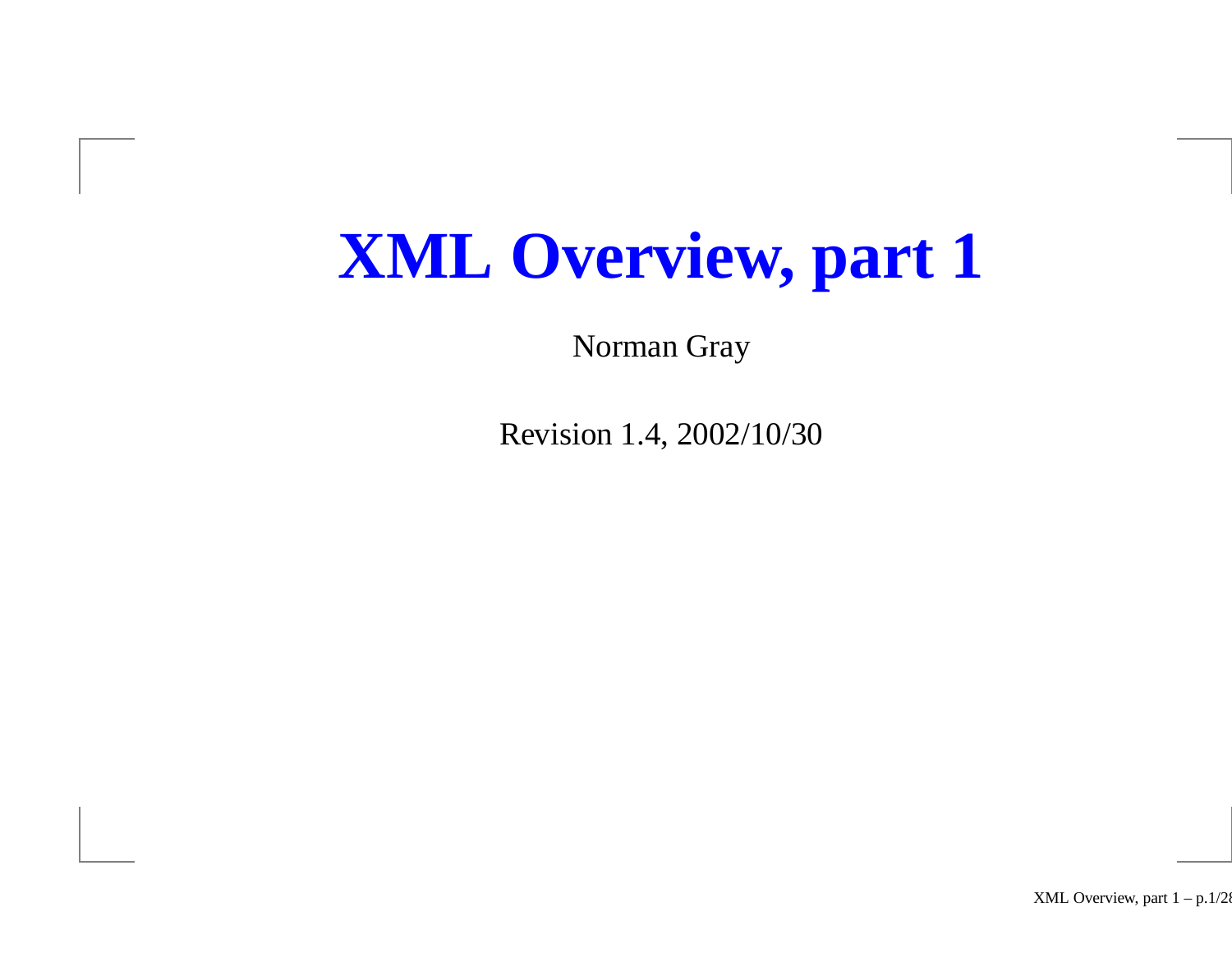# **XML Overview, part 1**

Norman Gray

Revision 1.4, 2002/10/30

XML Overview, par<sup>t</sup> 1 – p.1/28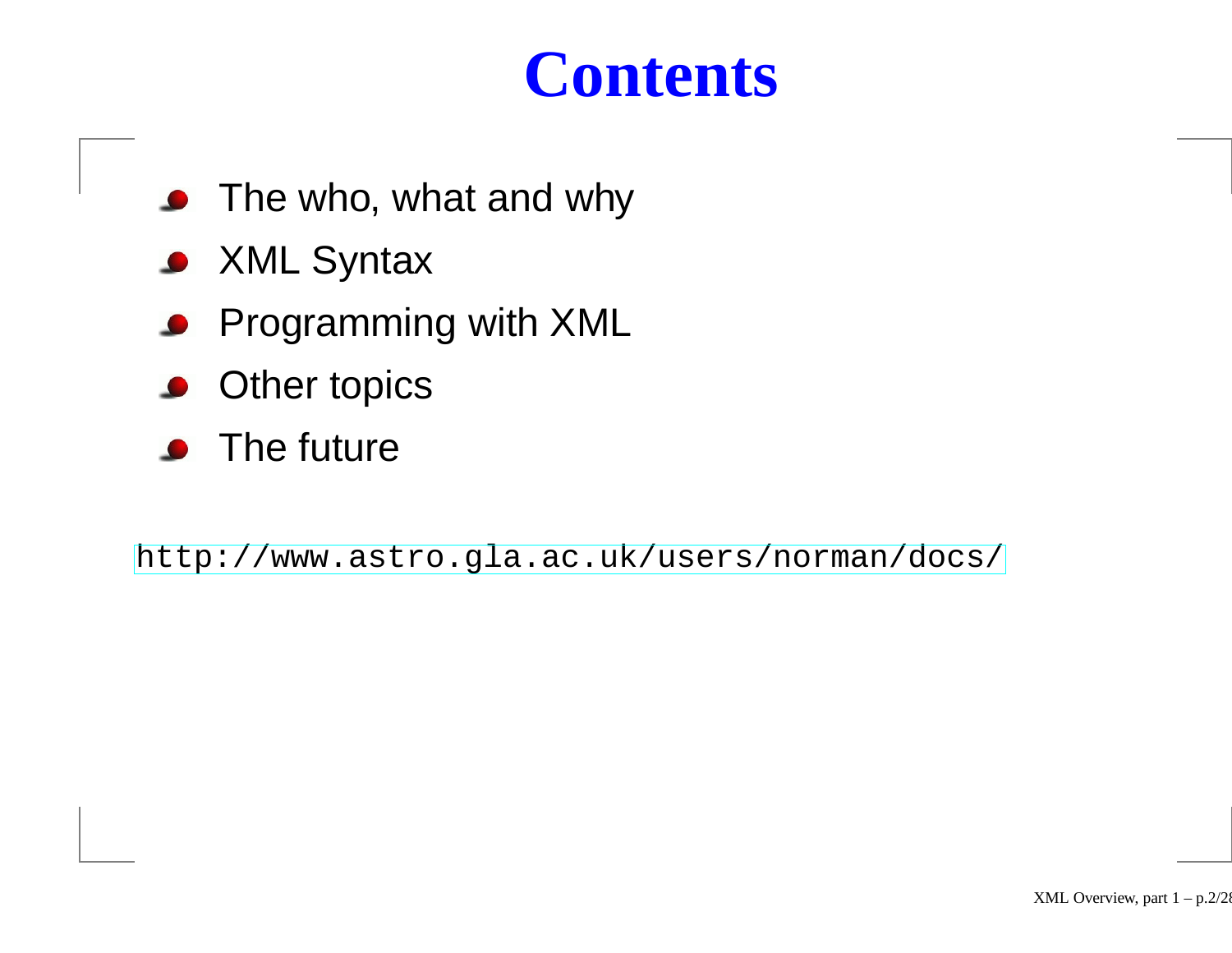### **Contents**

- The who, what and why
- XML Syntax  $\bullet$
- **Programming with XML**
- **Other topics**
- The future

[http://www](http://www.astro.gla.ac.uk/users/norman/docs/).[astro](http://www.astro.gla.ac.uk/users/norman/docs/).[gla](http://www.astro.gla.ac.uk/users/norman/docs/).[ac](http://www.astro.gla.ac.uk/users/norman/docs/).[uk/users/norman/do](http://www.astro.gla.ac.uk/users/norman/docs/)cs/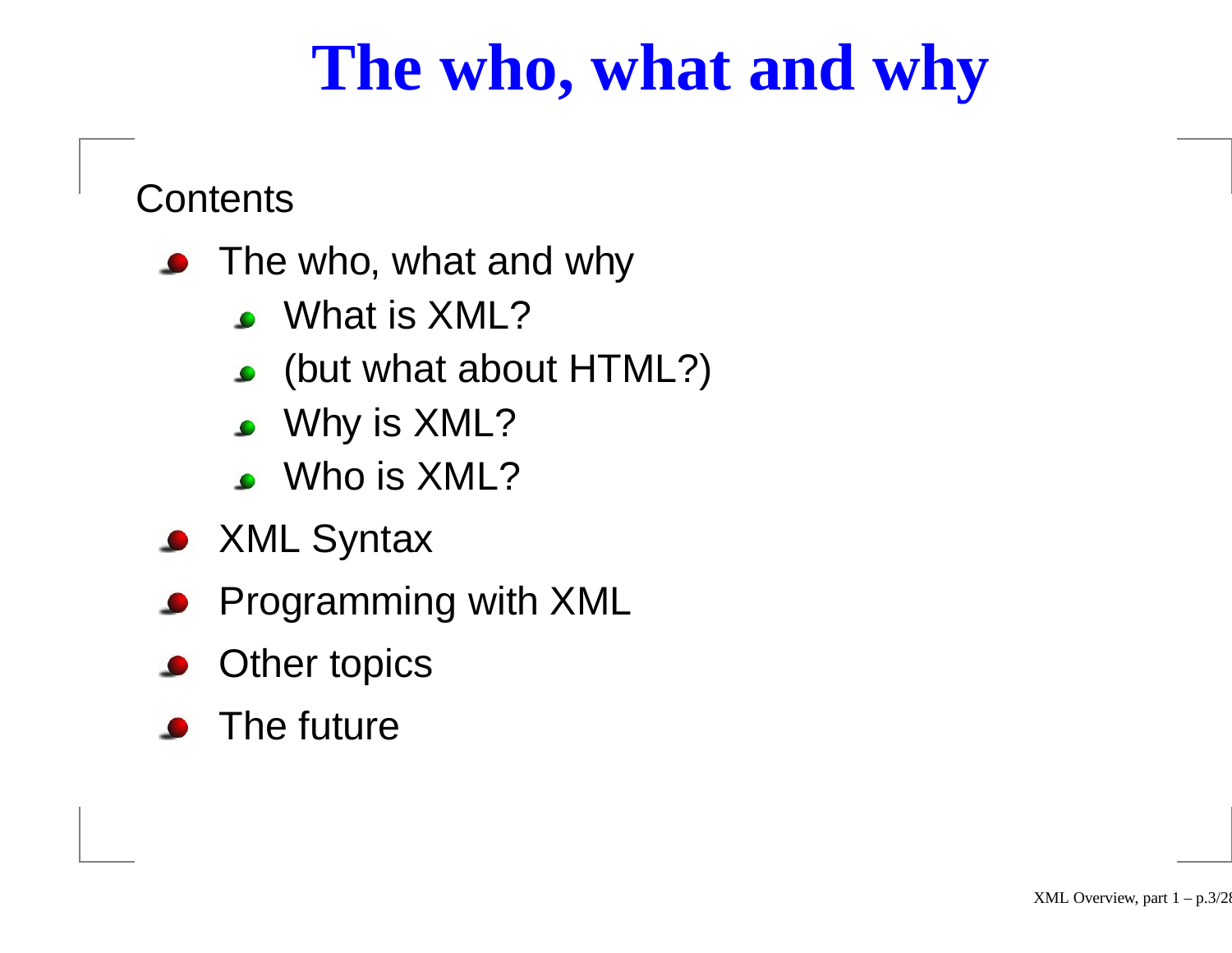### **The who, what and why**

Contents

- The who, what and why
	- What is XML?
	- (but what about HTML?)
	- **Why is XML?**
	- Who is XML?
- XML Syntax
- Programming with XML
- Other topics
- The future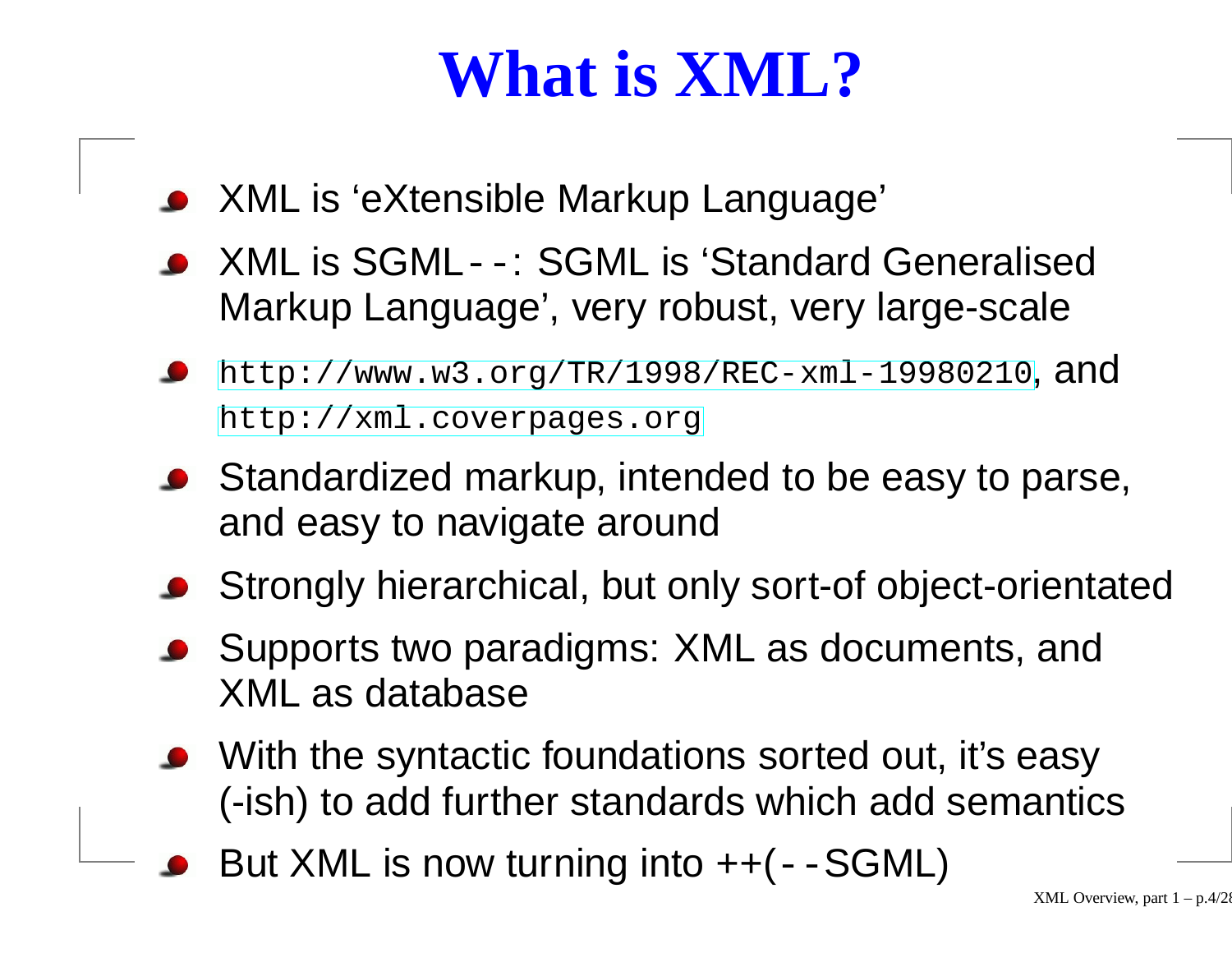# **What is XML?**

- XML is 'eXtensible Markup Language'
- XML is SGML--: SGML is 'Standard Generalised Markup Language', very robust, very large-scale
- [http://www](http://www.w3.org/TR/1998/REC-xml-19980210).[w3](http://www.w3.org/TR/1998/REC-xml-19980210).[org/TR/1998/REC](http://www.w3.org/TR/1998/REC-xml-19980210)-[xml](http://www.w3.org/TR/1998/REC-xml-19980210)-[19980](http://www.w3.org/TR/1998/REC-xml-19980210)210, and [http://xml](http://xml.coverpages.org).[coverpages](http://xml.coverpages.org).org
- Standardized markup, intended to be easy to parse, and easy to navigate around
- Strongly hierarchical, but only sort-of object-orientated
- **Supports two paradigms: XML as documents, and** XML as database
- With the syntactic foundations sorted out, it's easy (-ish) to add further standards which add semantics
- But XML is now turning into ++(--SGML)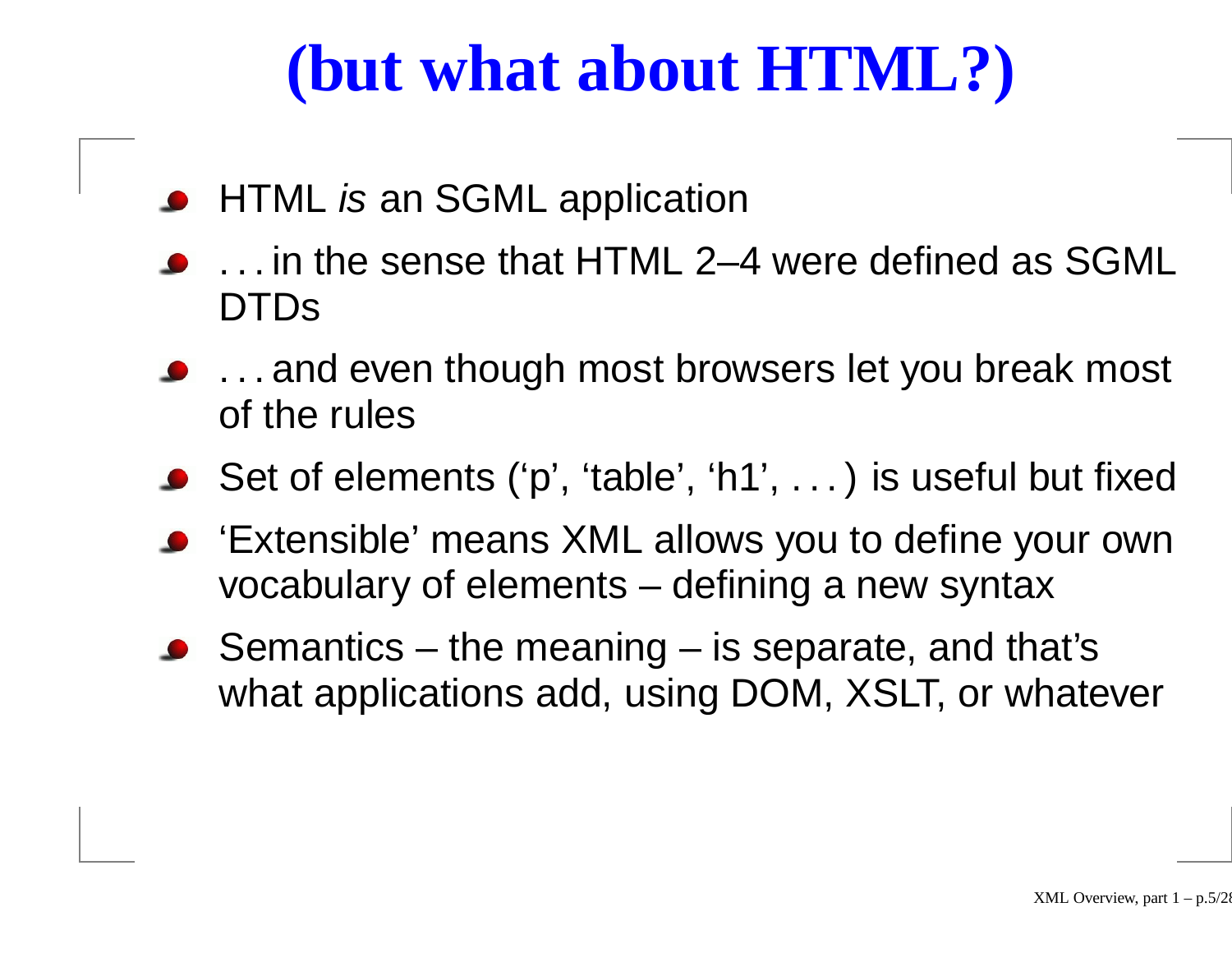## **(but what about HTML?)**

- HTML *is* an SGML application
- . . . in the sense that HTML 2–4 were defined as SGML DTDs
- . . . and even though most browsers let you break most of the rules
- Set of elements ('p', 'table', 'h1', . . . ) is useful but fixed
- 'Extensible' means XML allows you to define your own vocabulary of elements – defining <sup>a</sup> new syntax
- Semantics the meaning is separate, and that's what applications add, using DOM, XSLT, or whatever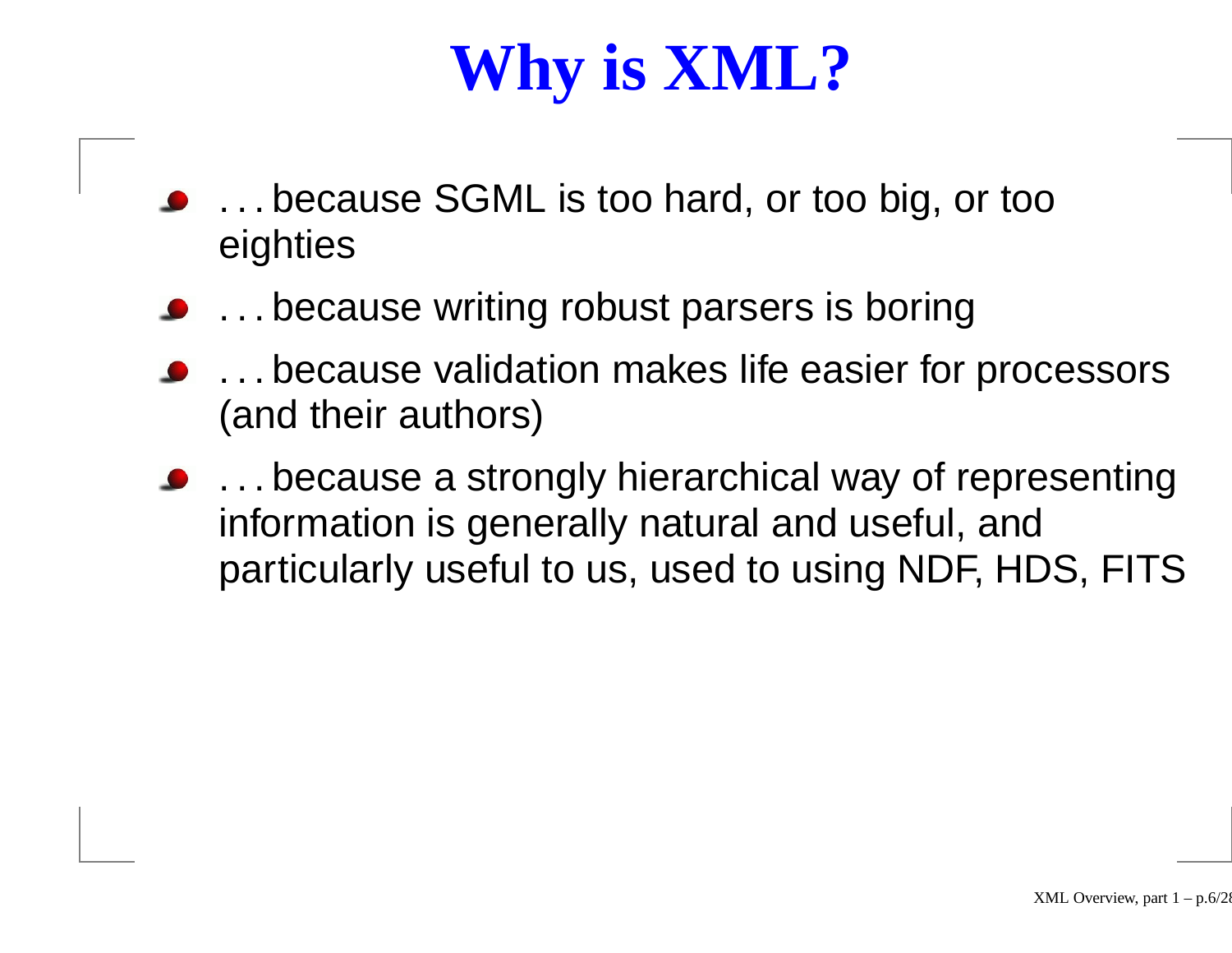# **Why is XML?**

- . . . because SGML is too hard, or too big, or too eighties
- . . . because writing robust parsers is boring
- . . . because validation makes life easier for processors (and their authors)
- . . . because <sup>a</sup> strongly hierarchical way of representing information is generally natural and useful, and particularly useful to us, used to using NDF, HDS, FITS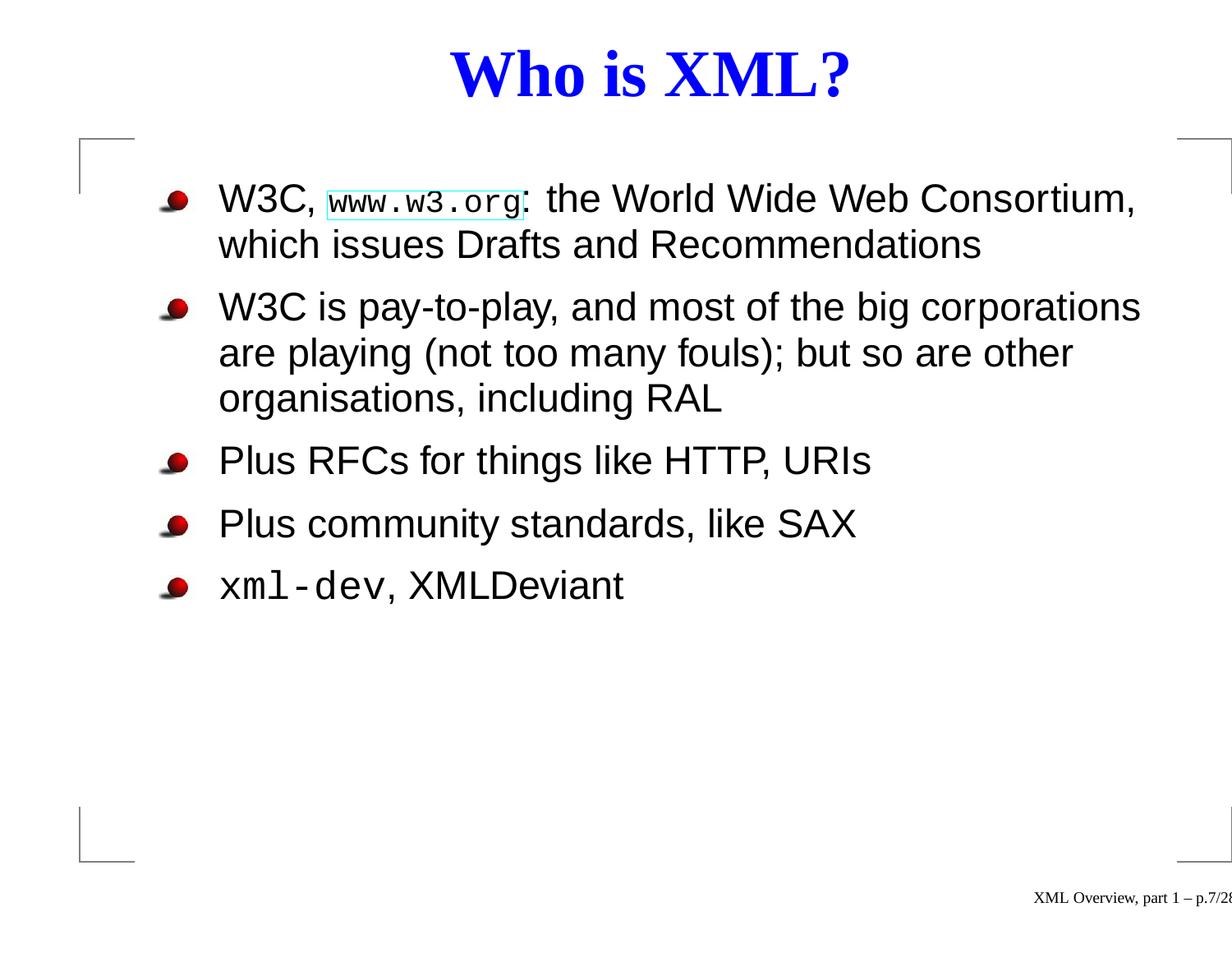# **Who is XML?**

- W3C, [www](www.w3.org).[w3](www.w3.org).org: the World Wide Web Consortium, which issues Drafts and Recommendations
- W3C is pay-to-play, and most of the big corporations are playing (not too many fouls); but so are other organisations, including RAL
- Plus RFCs for things like HTTP, URIs
- Plus community standards, like SAX
- xml-dev, XMLDeviant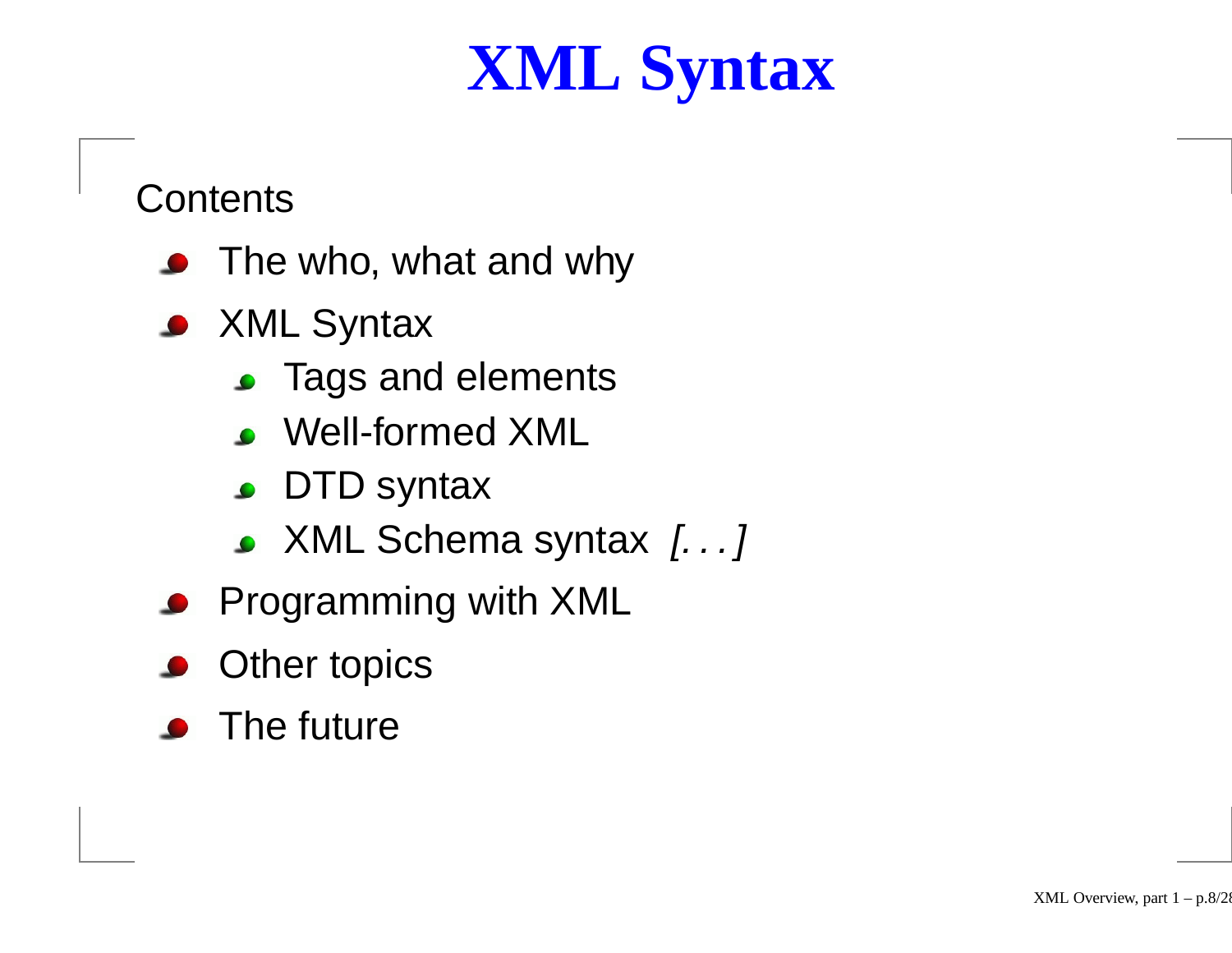# **XML Syntax**

**Contents** 

- The who, what and why
- XML Syntax
	- **S** Tags and elements
	- Well-formed XML
	- DTD syntax  $\bullet$
	- XML Schema syntax [. . . ]
- **Programming with XML**
- Other topics
- The future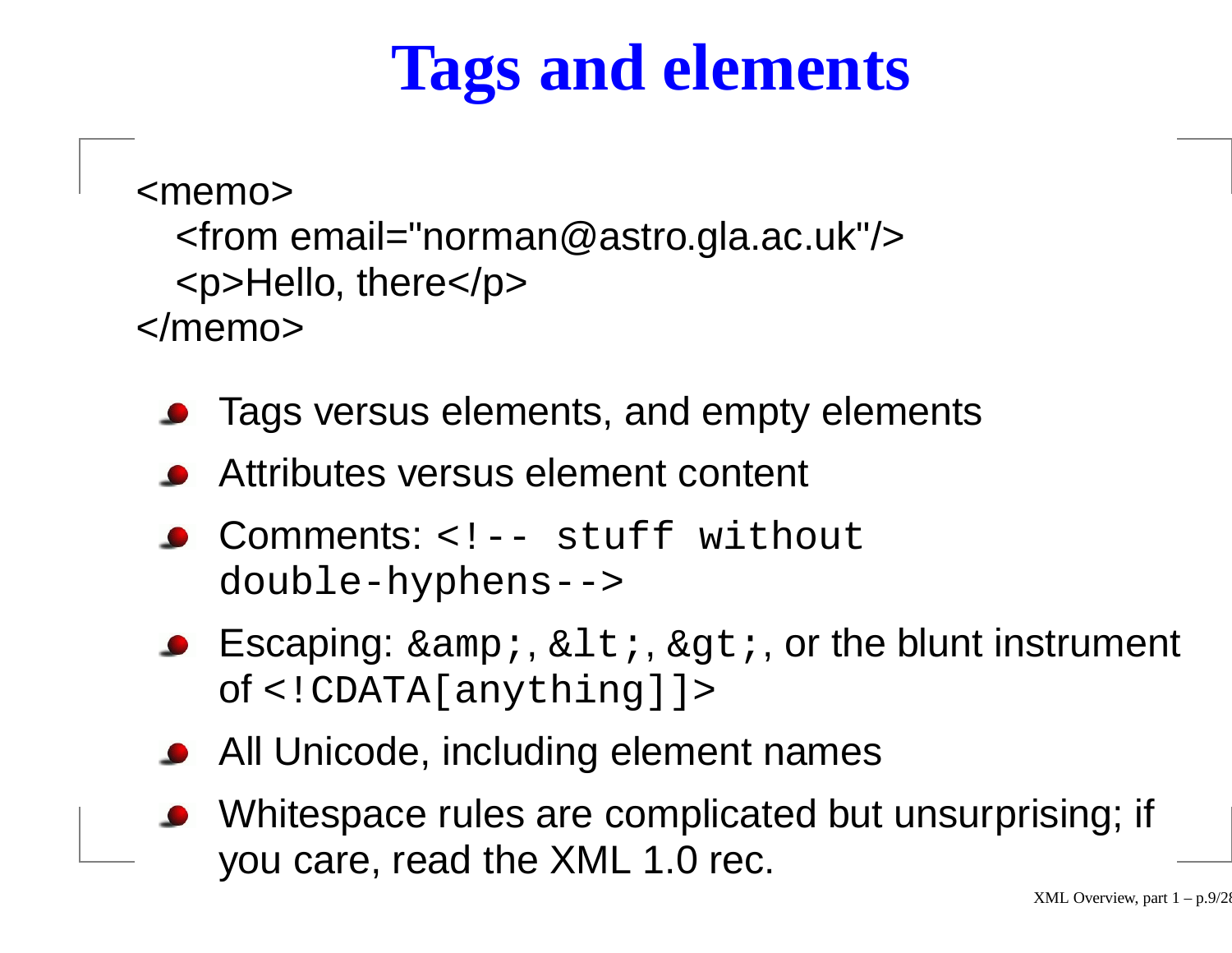### **Tags and elements**

<memo><from email="norman@astro.gla.ac.uk"/<sup>&</sup>gt; <sup>&</sup>lt;p>Hello, there</p<sup>&</sup>gt; </memo>

- Tags versus elements, and empty elements
- Attributes versus element content
- Comments: <!-- stuff without double-hyphens-->
- **Escaping:**  $\& i$ ,  $& l$ t;,  $& g$ t;, or the blunt instrument of <!CDATA[anything]]>
- All Unicode, including element names
- Whitespace rules are complicated but unsurprising; if you care, read the XML 1.0 rec.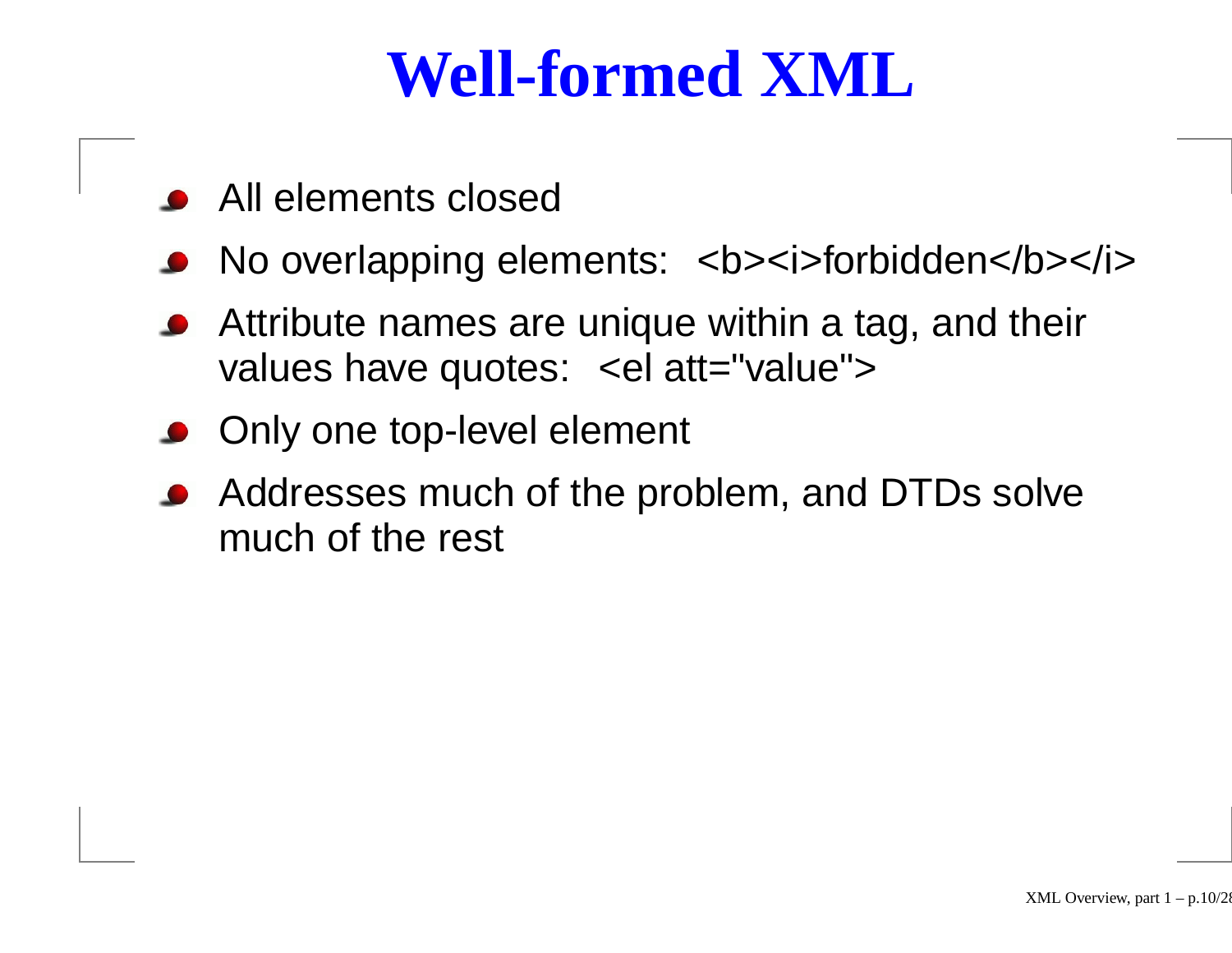### **Well-formed XML**

- All elements closed
- No overlapping elements: <sup>&</sup>lt;b><i>forbidden</b></i<sup>&</sup>gt;
- Attribute names are unique within <sup>a</sup> tag, and their values have quotes: <sup>&</sup>lt;el att="value"<sup>&</sup>gt;
- Only one top-level element
- Addresses much of the problem, and DTDs solve much of the rest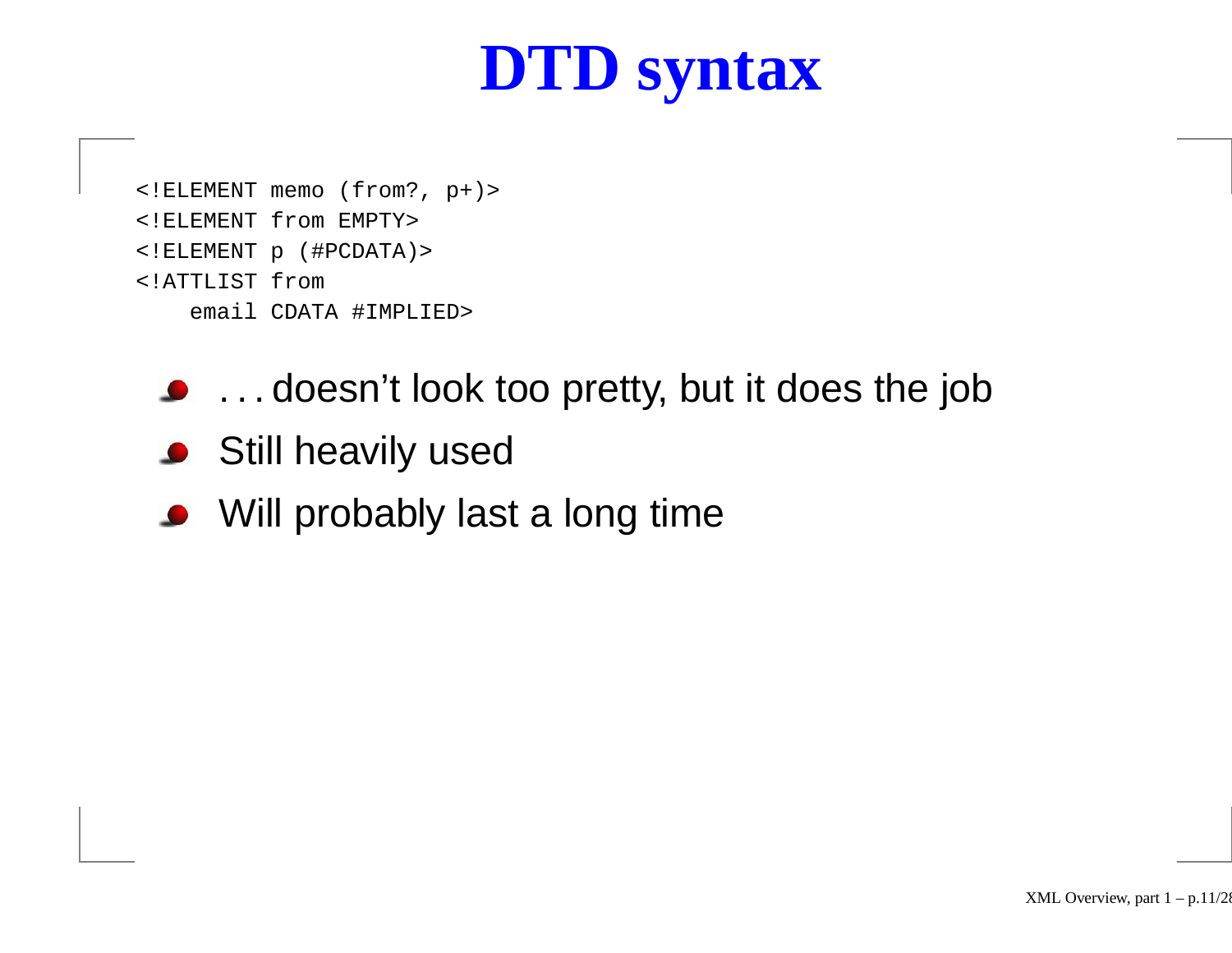# **DTD syntax**

<!ELEMENT memo (from?, p+)> <!ELEMENT from EMPTY> <!ELEMENT p (#PCDATA)> <!ATTLIST from email CDATA #IMPLIED>

- . . . doesn't look too pretty, but it does the job
- **Still heavily used**
- Will probably last <sup>a</sup> long time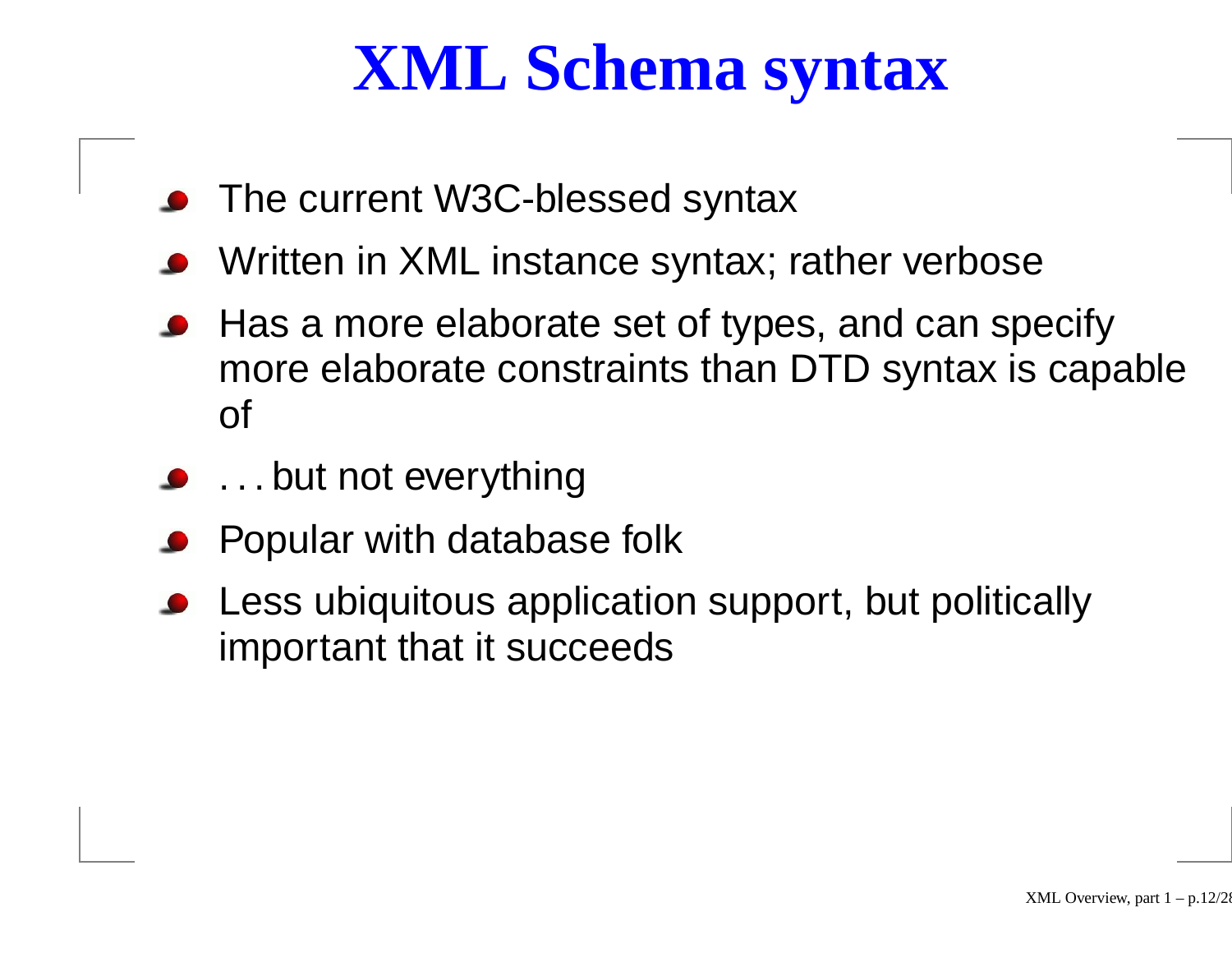### **XML Schema syntax**

- The current W3C-blessed syntax
- Written in XML instance syntax; rather verbose
- Has a more elaborate set of types, and can specify more elaborate constraints than DTD syntax is capable of
- . . . but not everything
- **Popular with database folk**
- Less ubiquitous application support, but politically important that it succeeds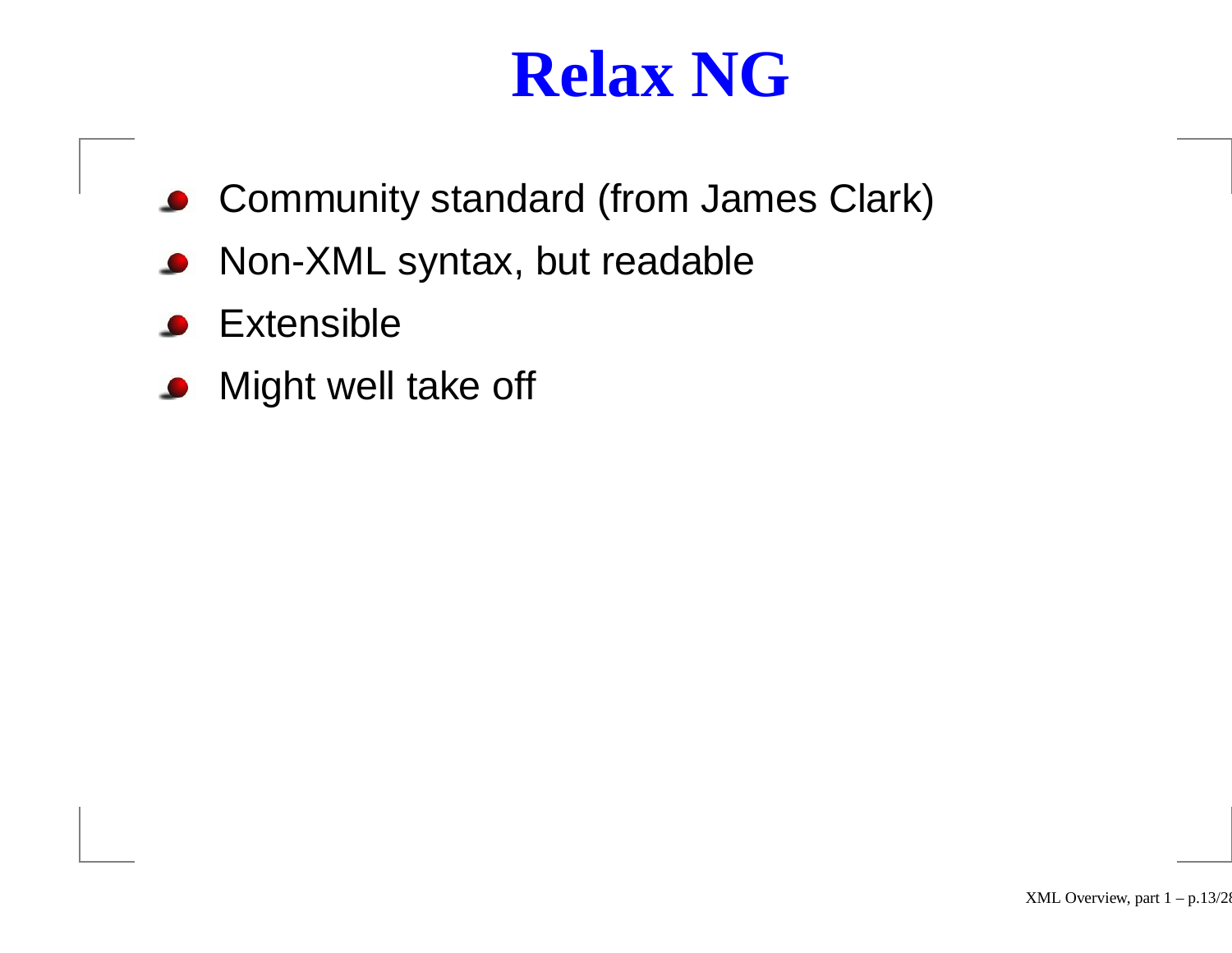### **Relax NG**

- **Community standard (from James Clark)**
- Non-XML syntax, but readable
- Extensible $\bullet$
- Might well take off  $\bullet$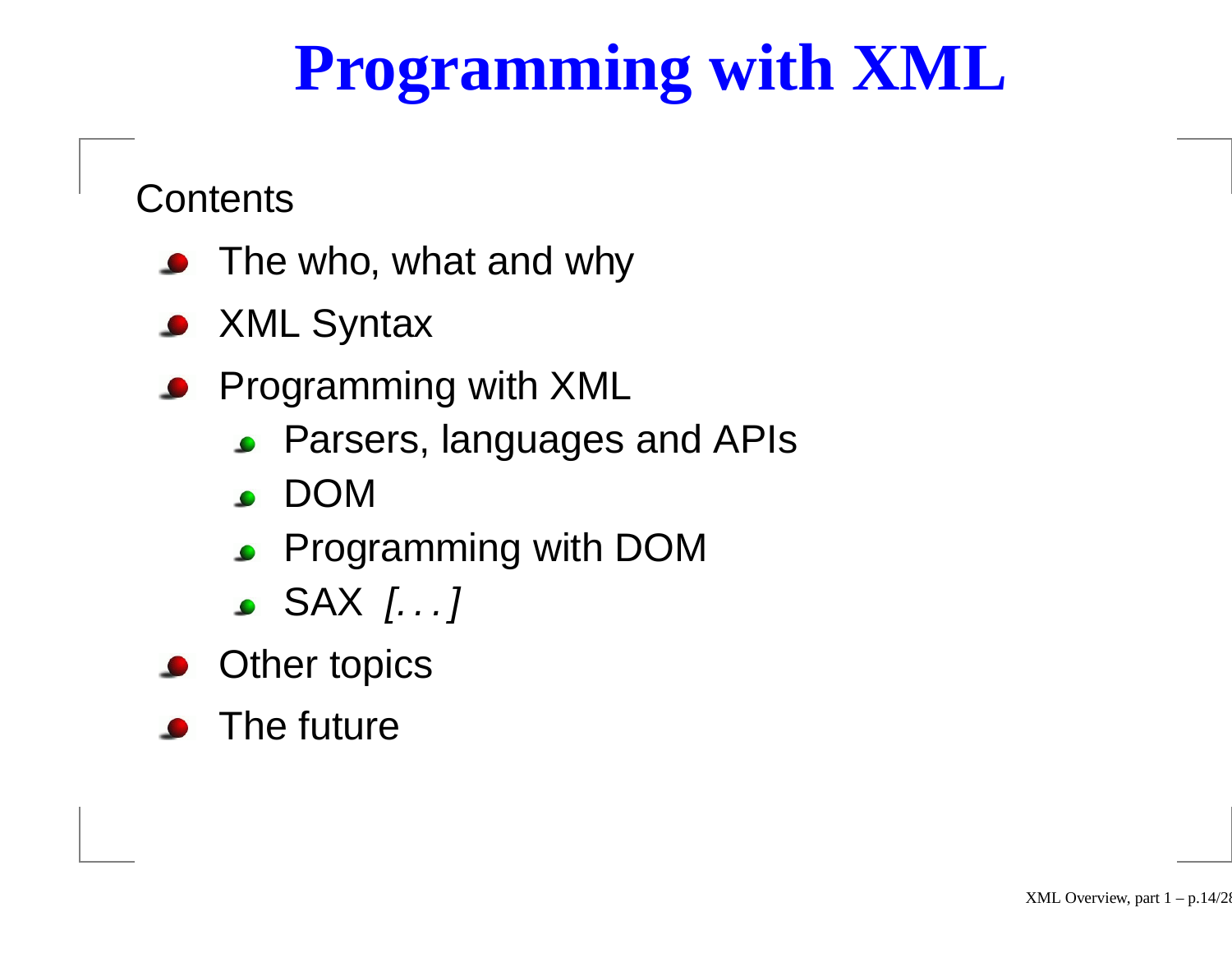# **Programming with XML**

**Contents** 

- The who, what and why
- XML Syntax
- Programming with XML
	- Parsers, languages and APIs
	- DOM
	- **•** Programming with DOM
	- SAX [. . . ]
- **Other topics**
- The future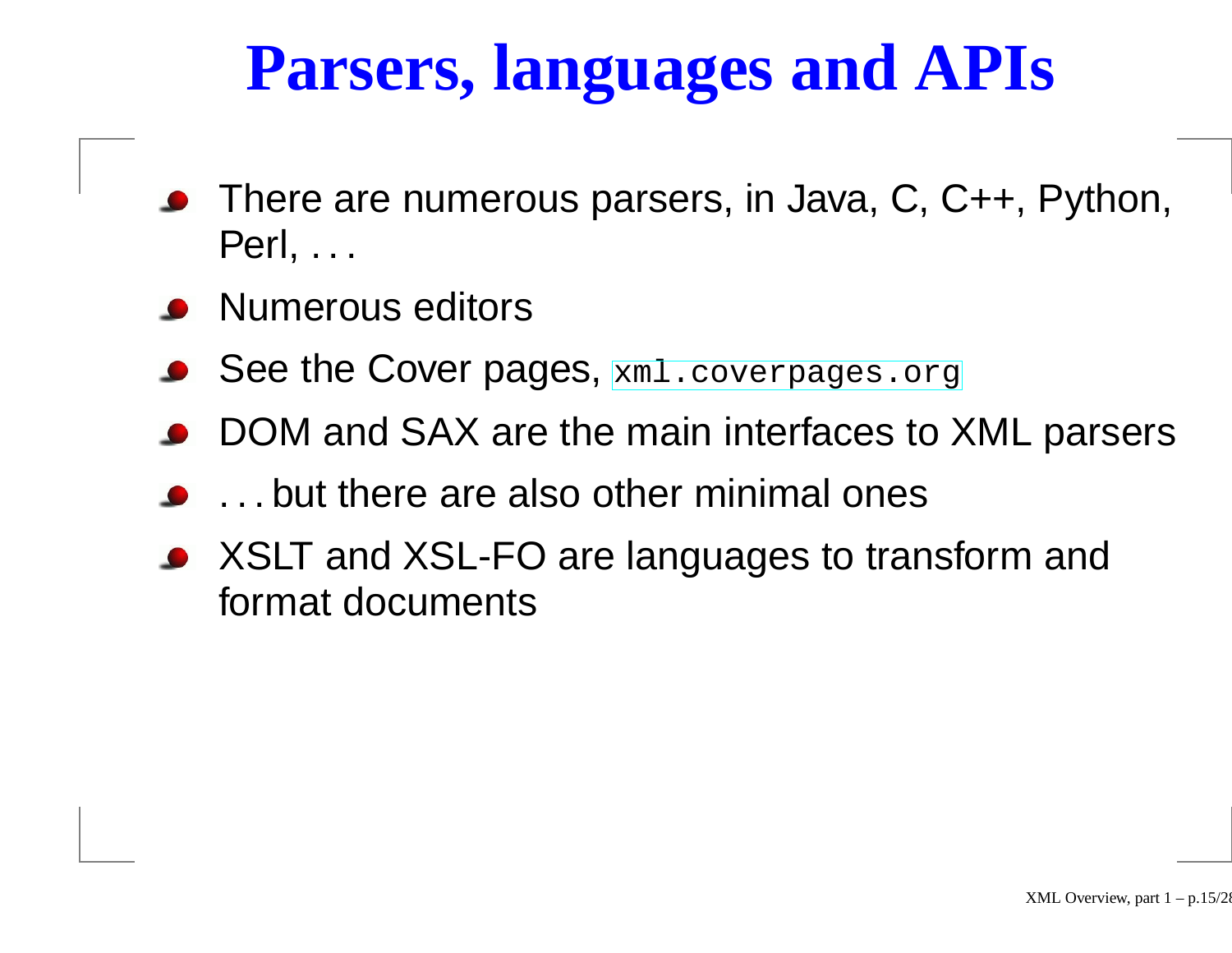# **Parsers, languages and APIs**

- There are numerous parsers, in Java, C, C++, Python, Perl, . . .
- Numerous editors
- ${\sf See}$  the  ${\sf Cover}$  pages,  ${\scriptstyle{\rm xml}}$  ${\scriptstyle{\rm xml}}$  ${\scriptstyle{\rm xml}}$  . <code>[coverpages](xml.coverpages.org).org</code>
- DOM and SAX are the main interfaces to XML parsers
- . . . but there are also other minimal ones
- XSLT and XSL-FO are languages to transform and format documents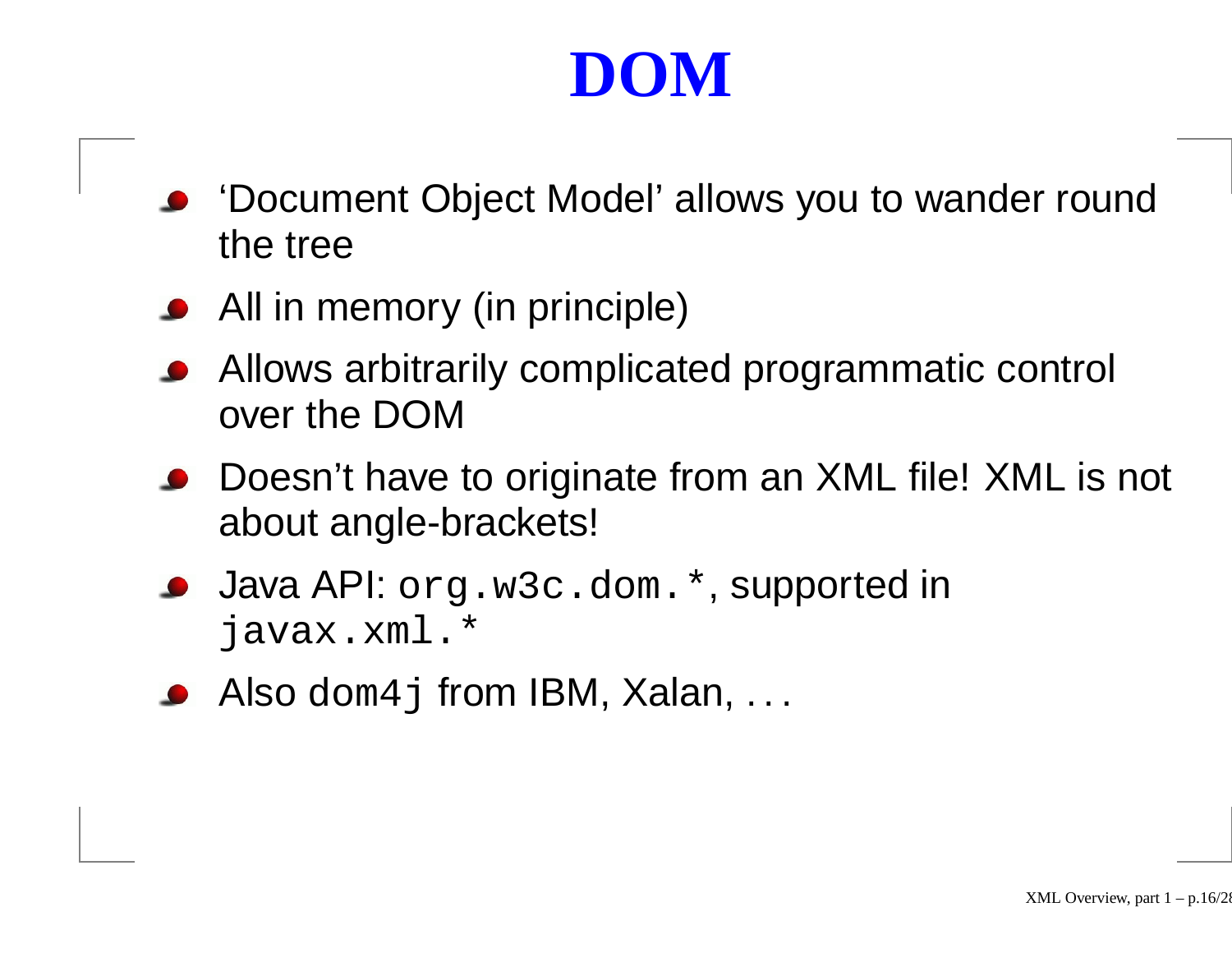### **DOM**

- 'Document Object Model' allows you to wander round the tree
- All in memory (in principle)
- Allows arbitrarily complicated programmatic control over the DOM
- Doesn't have to originate from an XML file! XML is not about angle-brackets!
- Java API: org.w3c.dom.\*, supported in javax.xml.\*
- Also <code>dom4j</code> from IBM, Xalan,  $\ldots$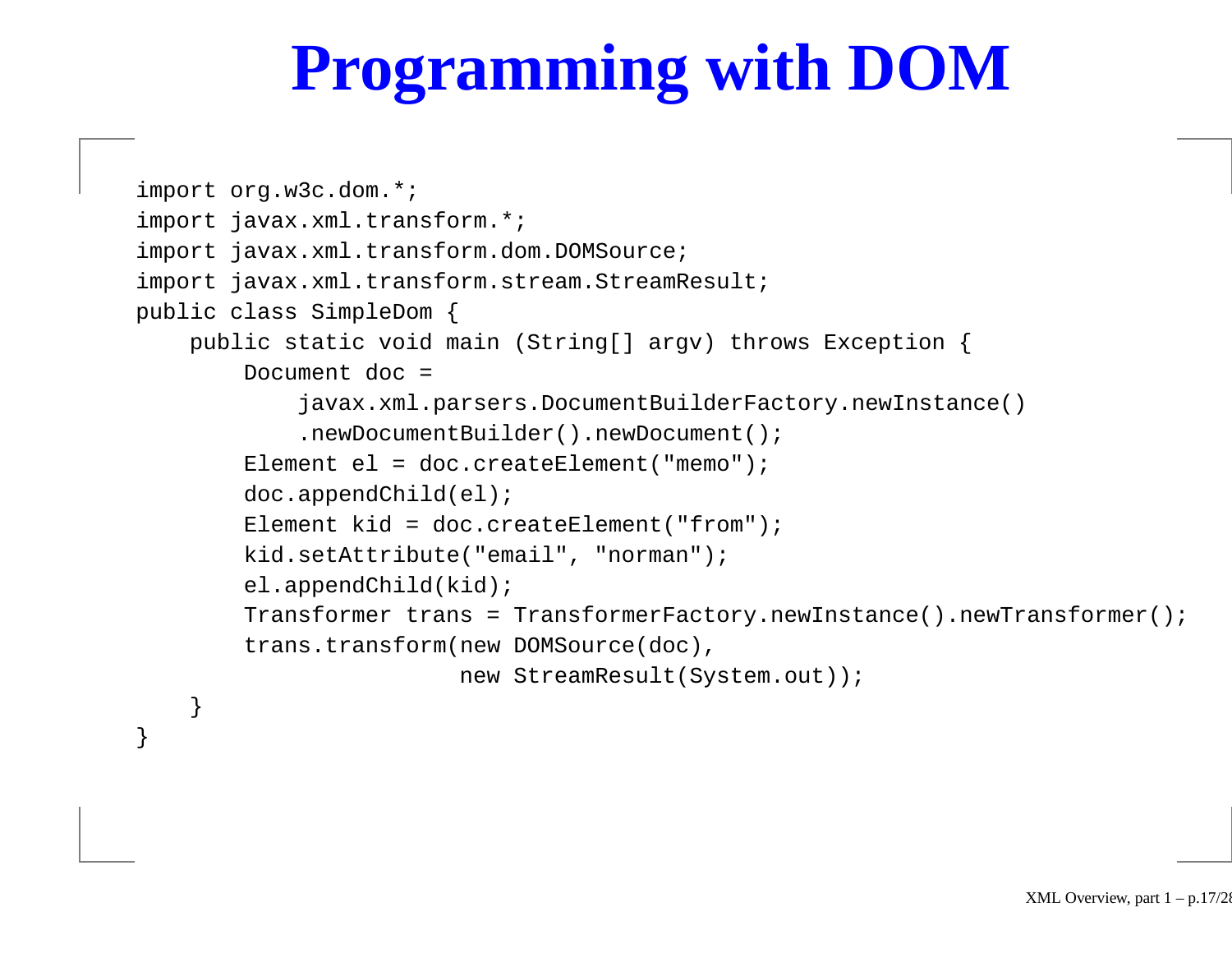# **Programming with DOM**

```
import org.w3c.dom.*;
import javax.xml.transform.*;
import javax.xml.transform.dom.DOMSource;
import javax.xml.transform.stream.StreamResult;
public class SimpleDom {
   public static void main (String[] argv) throws Exception {
        Document doc =
            javax.xml.parsers.DocumentBuilderFactory.newInstance()
            .newDocumentBuilder().newDocument();
        Element el = doc.createElement("memo");
        doc.appendChild(el);
        Element kid = doc.createElement("from");
        kid.setAttribute("email", "norman");
        el.appendChild(kid);
        Transformer trans = TransformerFactory.newInstance().newTransformer();
        trans.transform(new DOMSource(doc),
                        new StreamResult(System.out));
```
}

}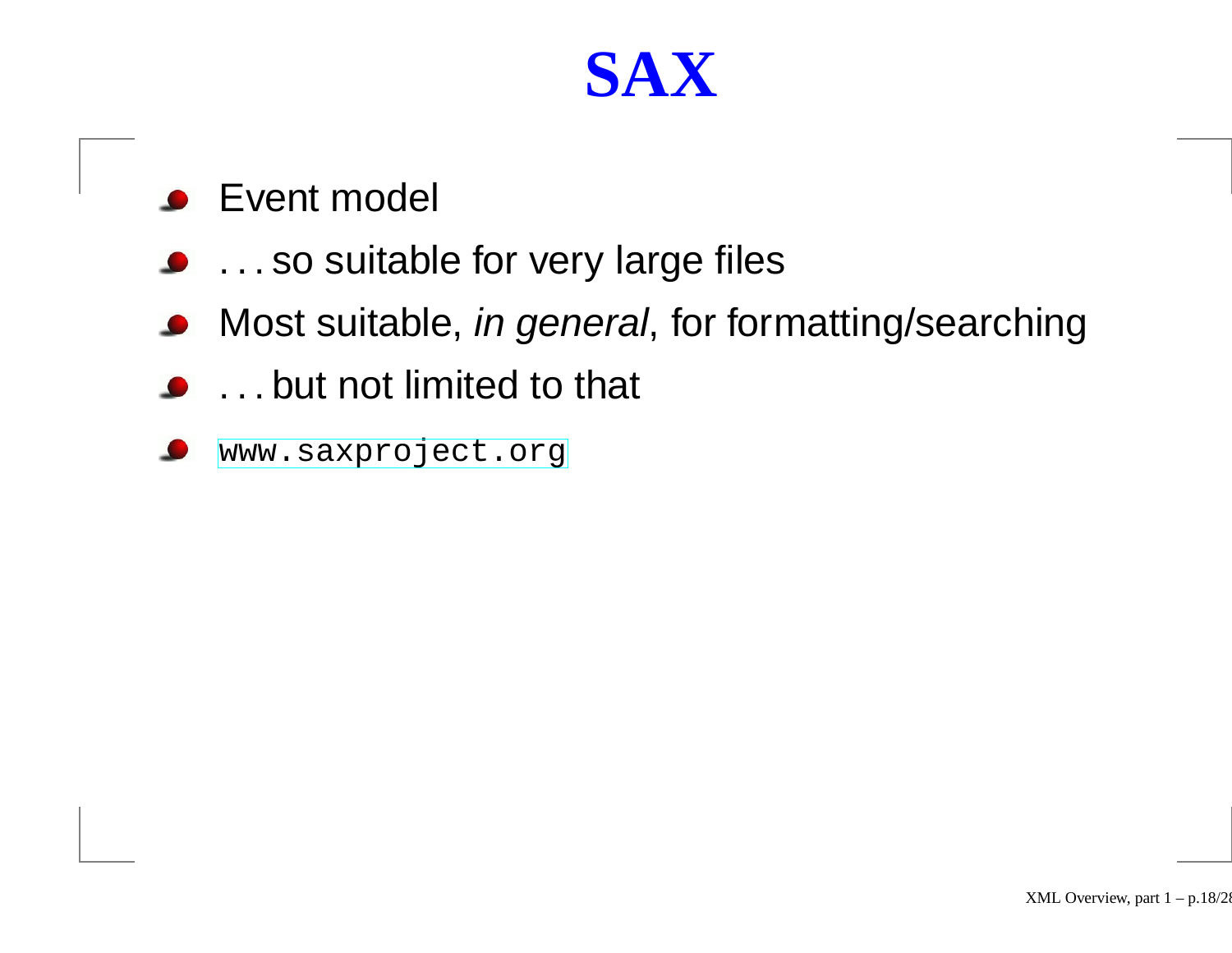### **SAX**

- Event model  $\bullet$
- . . . so suitable for very large files
- Most suitable, in general, for formatting/searching  $\bullet$
- . . . but not limited to that
- [www](www.saxproject.org).[saxproject](www.saxproject.org).org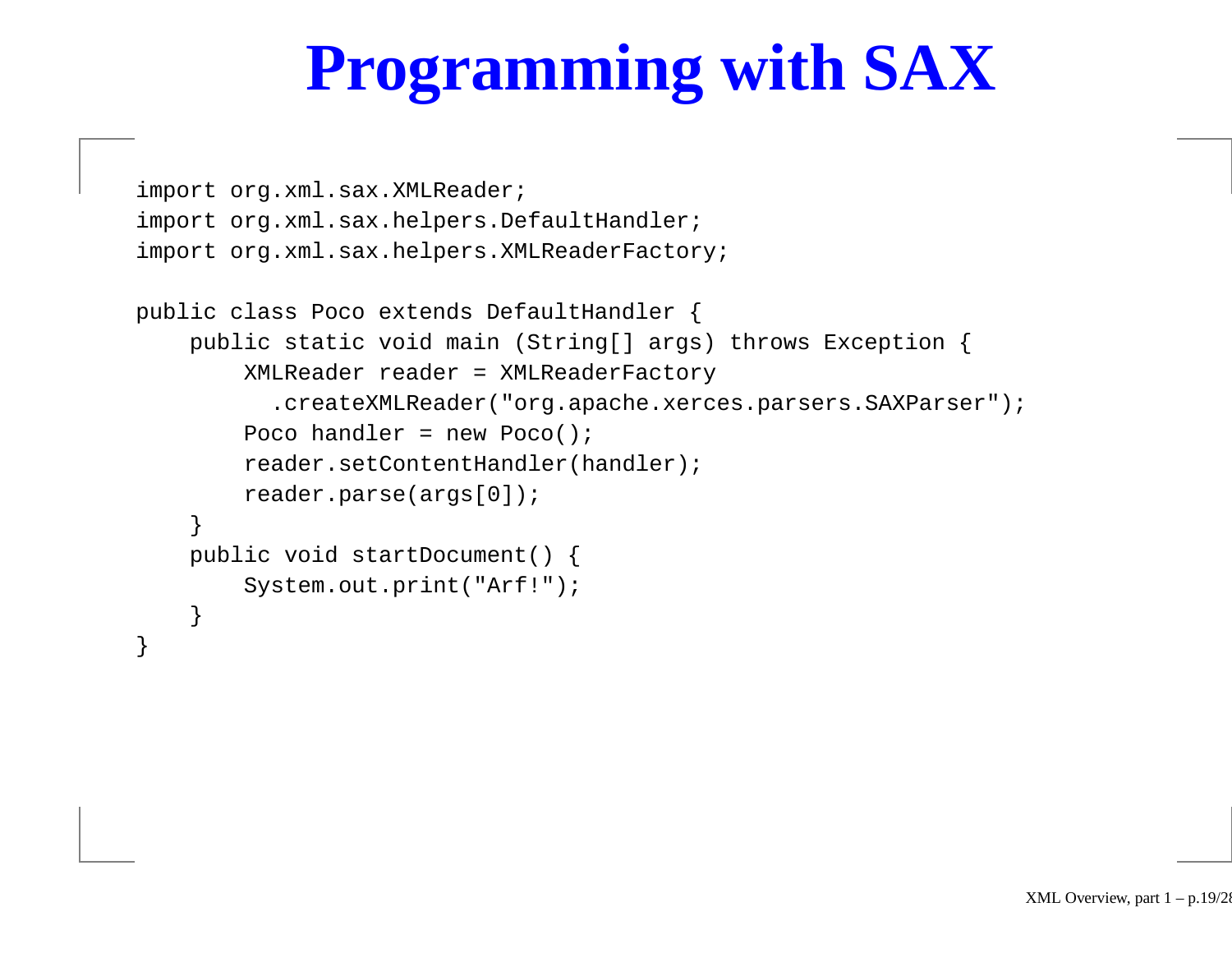# **Programming with SAX**

```
import org.xml.sax.XMLReader;
import org.xml.sax.helpers.DefaultHandler;
import org.xml.sax.helpers.XMLReaderFactory;
public class Poco extends DefaultHandler {
    public static void main (String[] args) throws Exception {
        XMLReader reader = XMLReaderFactory
          .createXMLReader("org.apache.xerces.parsers.SAXParser");
        Poco handler = new Poco();
        reader.setContentHandler(handler);
        reader.parse(args[0]);
    }
    public void startDocument() {
        System.out.print("Arf!");
    }
```
}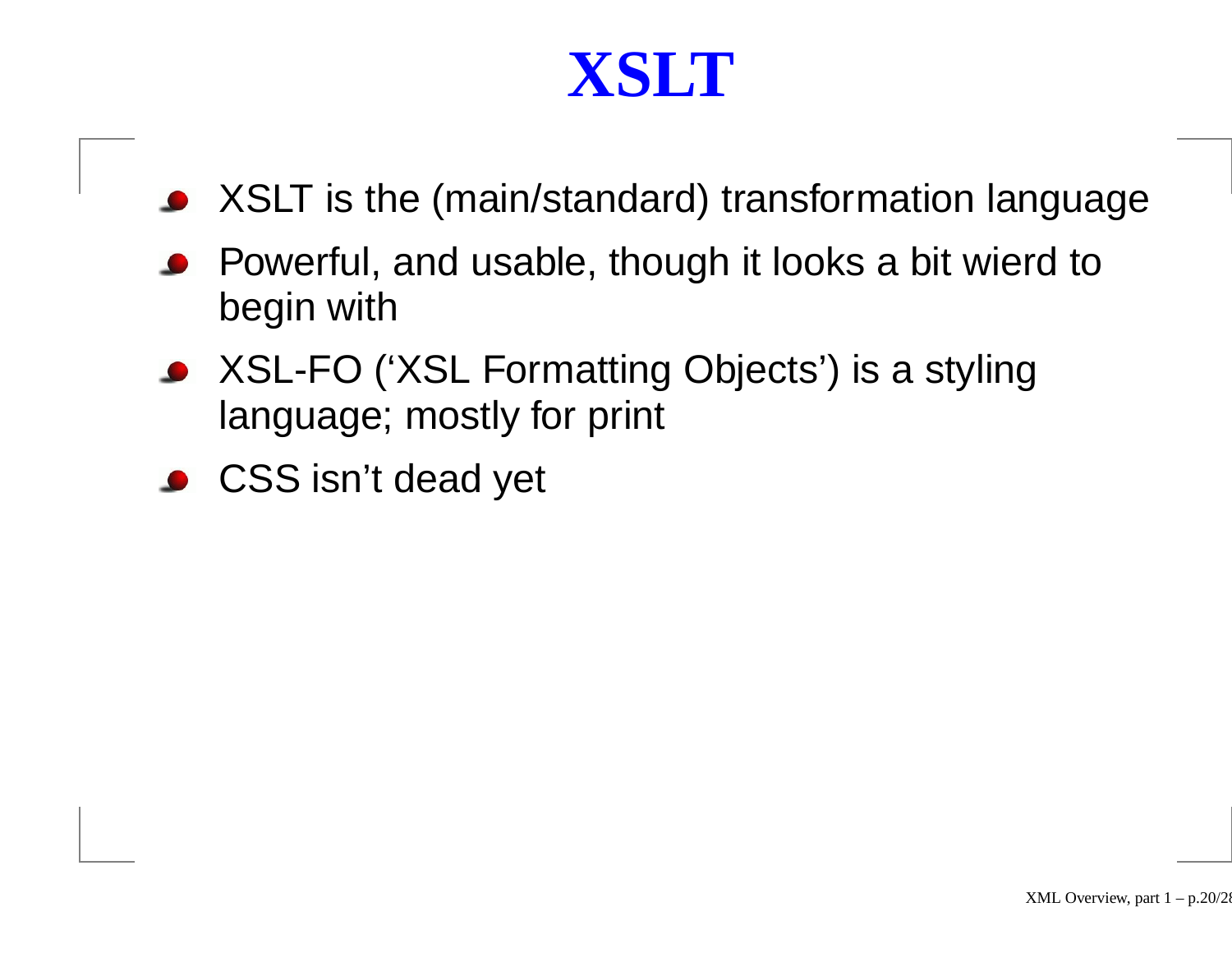### **XSLT**

- XSLT is the (main/standard) transformation language
- Powerful, and usable, though it looks <sup>a</sup> bit wierd to begin with
- XSL-FO ('XSL Formatting Objects') is <sup>a</sup> styling language; mostly for print
- CSS isn't dead yet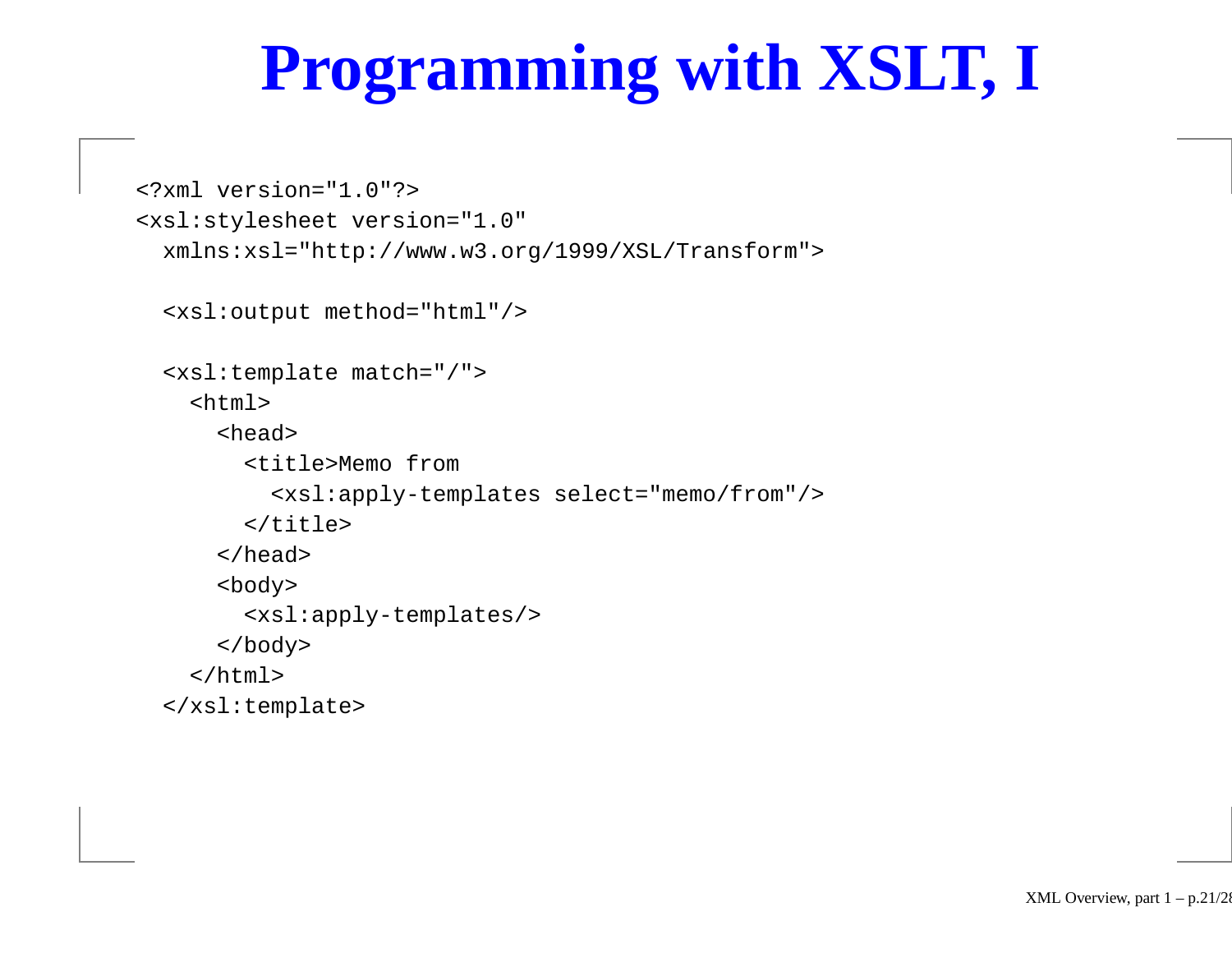# **Programming with XSLT, I**

```
<?xml version="1.0"?>
<xsl:stylesheet version="1.0"
 xmlns:xsl="http://www.w3.org/1999/XSL/Transform">
```

```
<xsl:output method="html"/>
```

```
<xsl:template match="/">
 <html><head><title>Memo from
        <xsl:apply-templates select="memo/from"/>
      </title>
    </head>
    <body>
      <xsl:apply-templates/>
    </body>
 </html>
```

```
</xsl:template>
```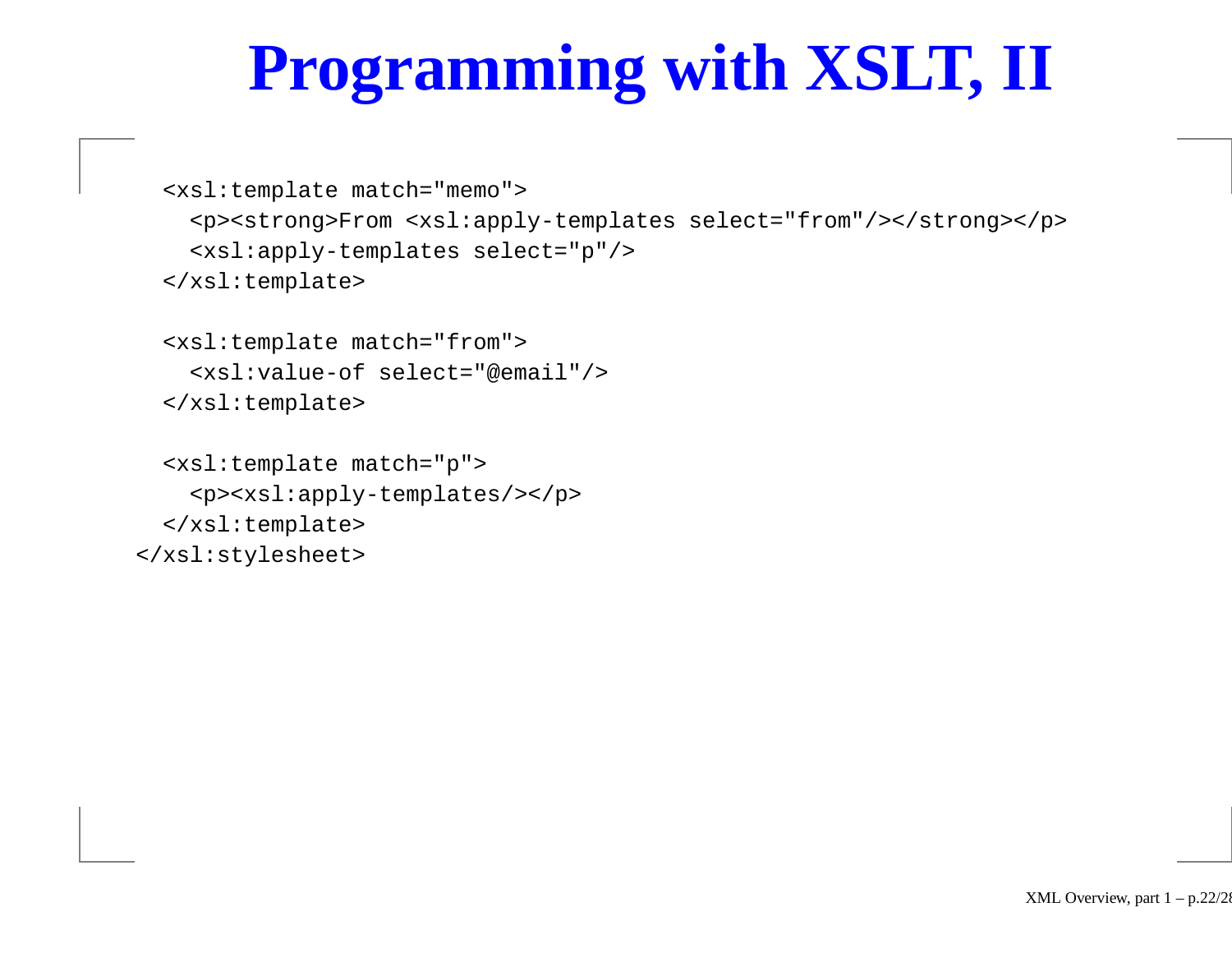# **Programming with XSLT, II**

```
<xsl:template match="memo">
 <p><strong>From <xsl:apply-templates select="from"/></strong></p>
  <xsl:apply-templates select="p"/>
</xsl:template>
```

```
<xsl:template match="from">
  <xsl:value-of select="@email"/>
</xsl:template>
```

```
<xsl:template match="p">
    <p><xsl:apply-templates/></p>
  </xsl:template>
</xsl:stylesheet>
```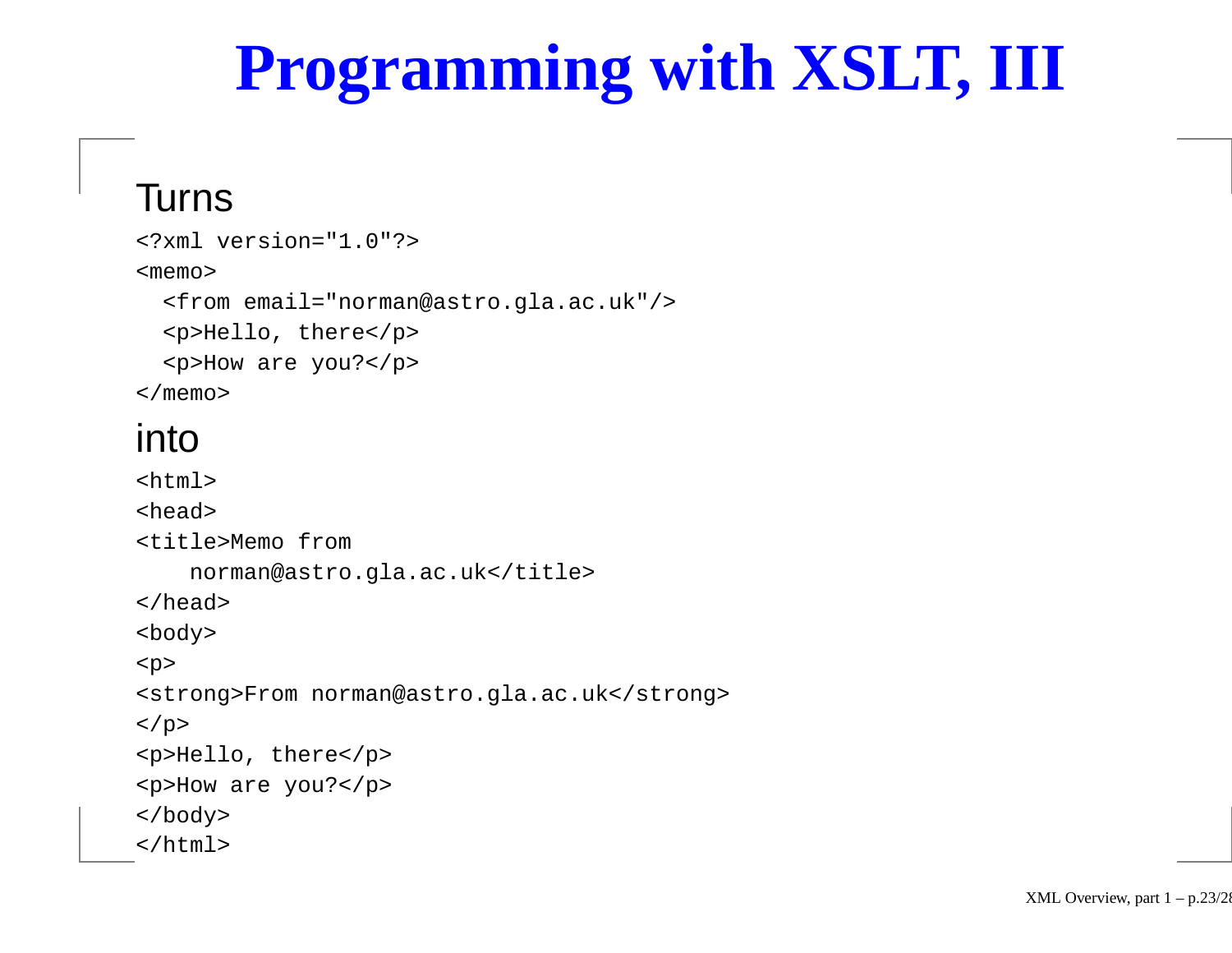# **Programming with XSLT, III**

#### Turns

```
<?xml version="1.0"?>
<memo><from email="norman@astro.gla.ac.uk"/>
  <p>Hello, there</p>
  <p>How are you?</p>
</memo>
```
#### into

```
<h+m\geq<head><title>Memo from
    norman@astro.gla.ac.uk</title>
</head>
<body>
<p>
<strong>From norman@astro.gla.ac.uk</strong>
\langle/p>
<p>Hello, there</p>
<p>How are you?</p>
</body>
</html>
```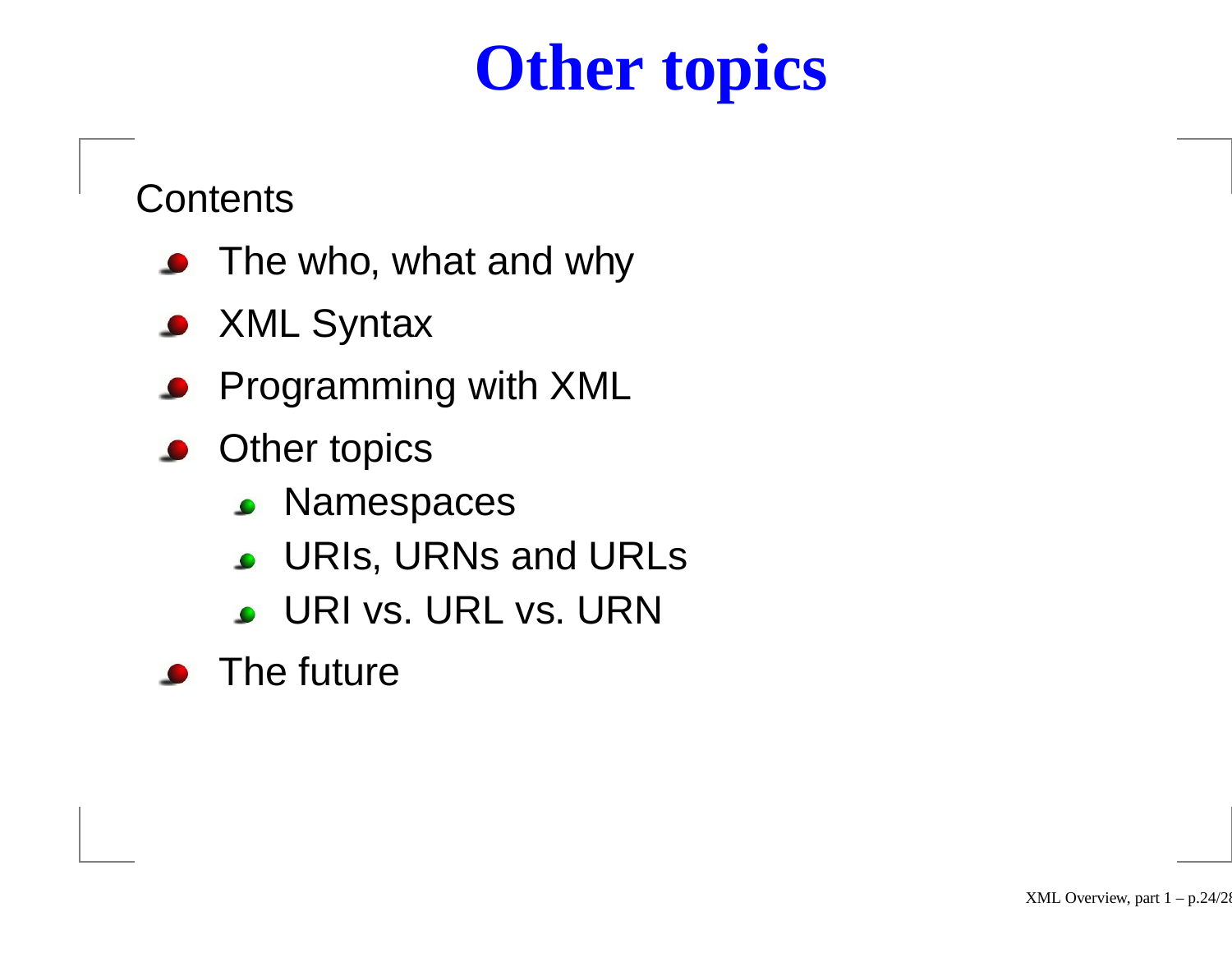# **Other topics**

Contents

- The who, what and why
- XML Syntax
- Programming with XML
- **Other topics** 
	- **S** Namespaces
	- **J.** URIs, URNs and URLs
	- URI vs. URL vs. URN
- The future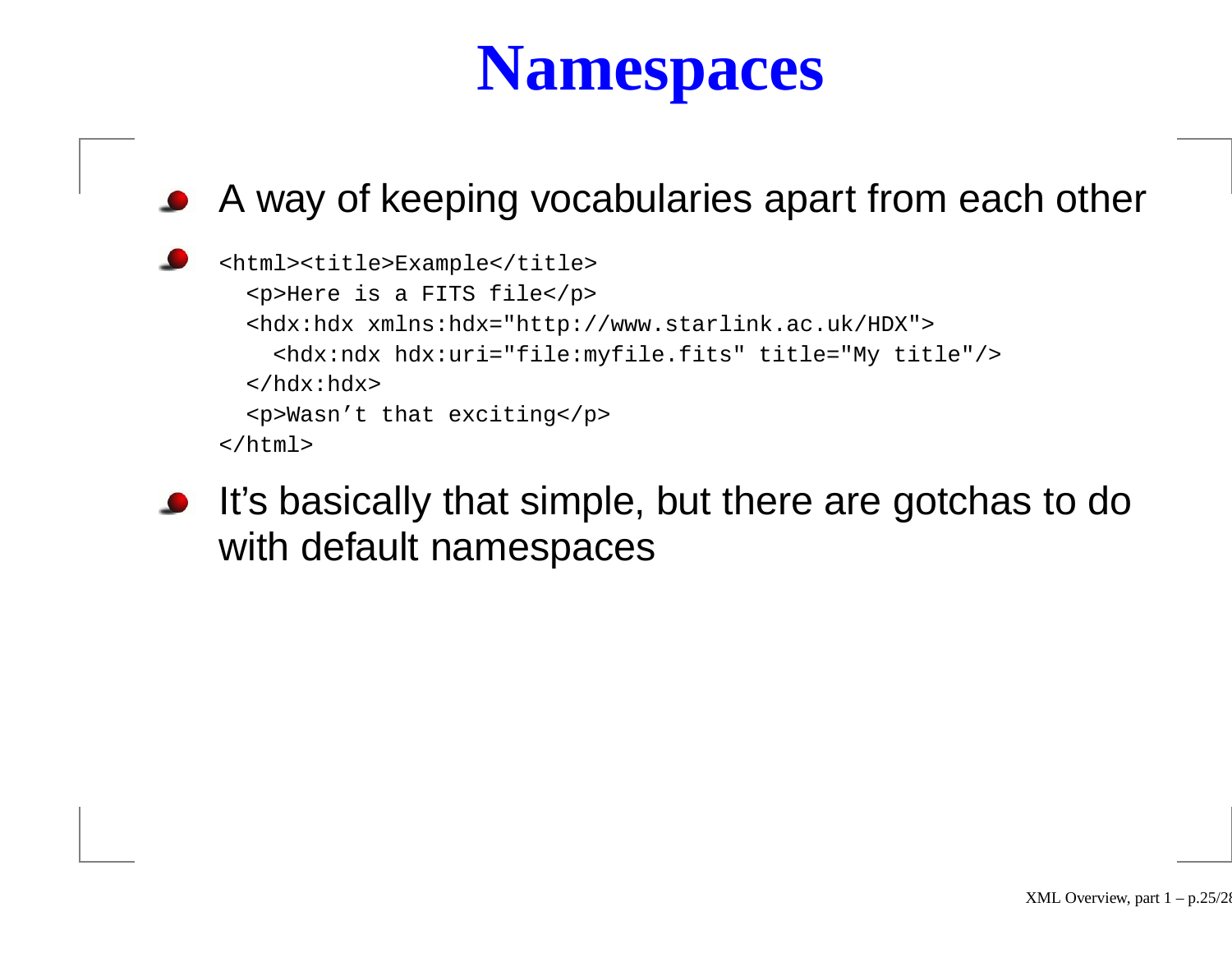# **Namespaces**

### A way of keeping vocabularies apart from each other

```
<html><title>Example</title>
  <p>Here is a FITS file</p>
  <hdx:hdx xmlns:hdx="http://www.starlink.ac.uk/HDX">
    <hdx:ndx hdx:uri="file:myfile.fits" title="My title"/>
  \langlehdx:hdx>
  <p>Wasn't that exciting</p>
</html>
```
It's basically that simple, but there are gotchas to do with default namespaces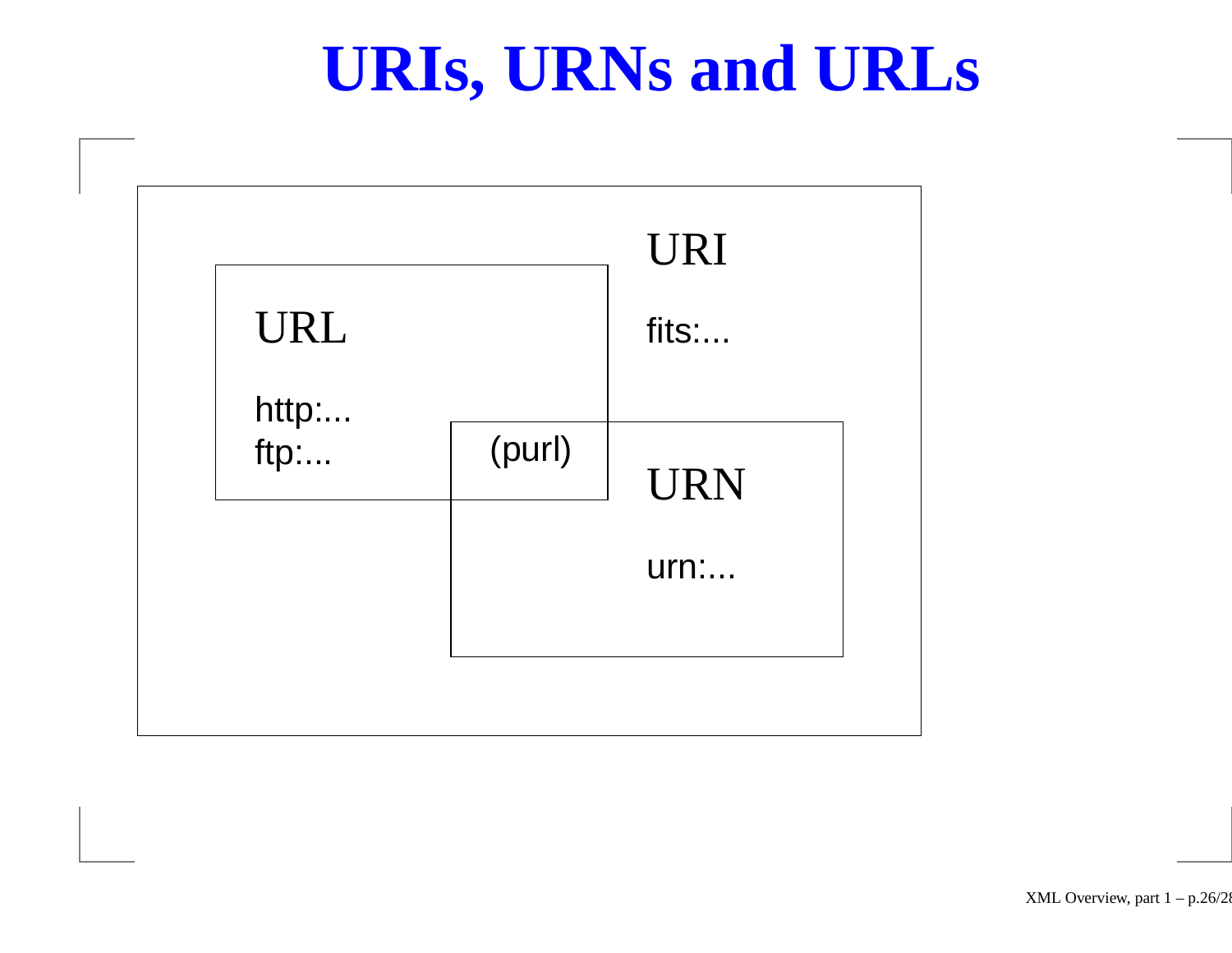### **URIs, URNs and URLs**

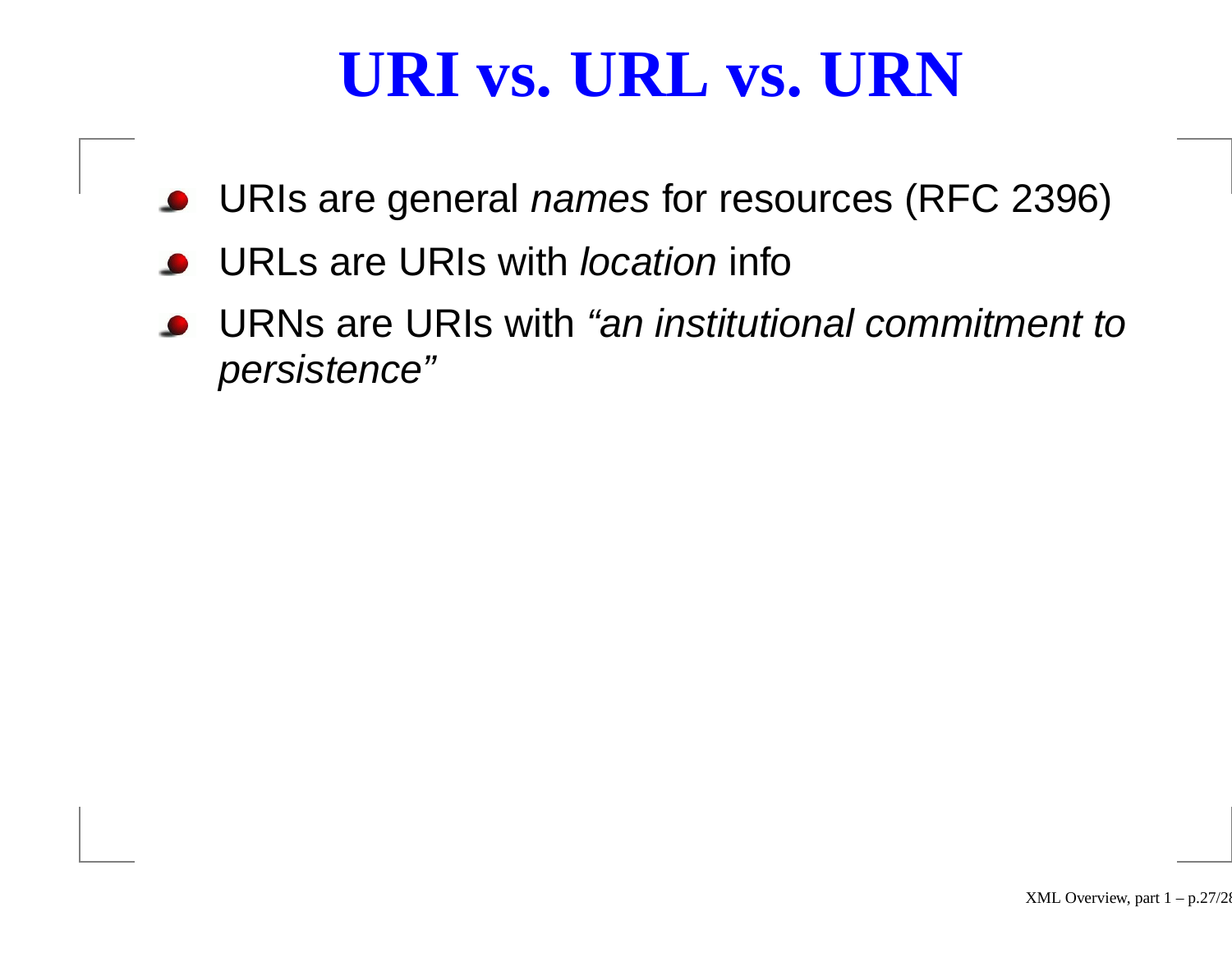### **URI vs. URL vs. URN**

- URIs are general *names* for resources (RFC 2396)
- URLs are URIs with *location* info
- URNs are URIs with "an institutional commitment to persistence"